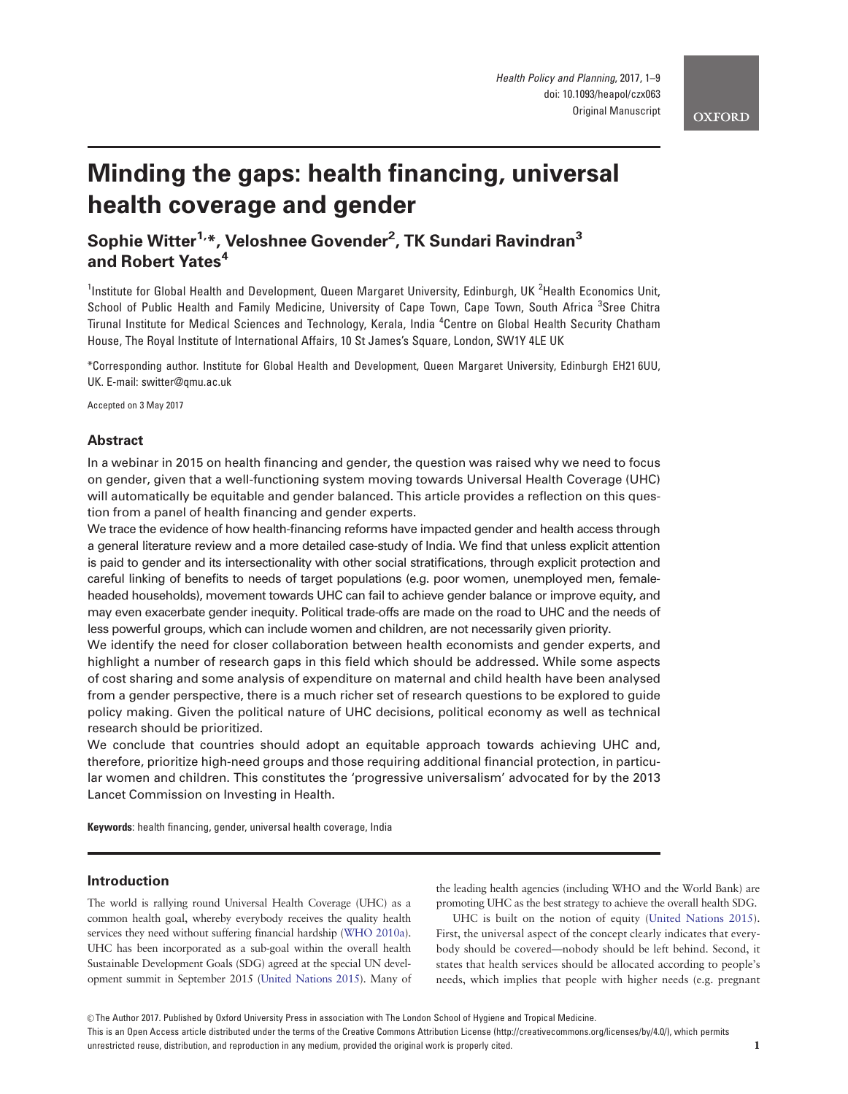# Minding the gaps: health financing, universal health coverage and gender

## Sophie Witter<sup>1,</sup>\*, Veloshnee Govender<sup>2</sup>, TK Sundari Ravindran<sup>3</sup> and Robert Yates<sup>4</sup>

<sup>1</sup>Institute for Global Health and Development, Queen Margaret University, Edinburgh, UK <sup>2</sup>Health Economics Unit, School of Public Health and Family Medicine, University of Cape Town, Cape Town, South Africa <sup>3</sup>Sree Chitra Tirunal Institute for Medical Sciences and Technology, Kerala, India <sup>4</sup> Centre on Global Health Security Chatham House, The Royal Institute of International Affairs, 10 St James's Square, London, SW1Y 4LE UK

\*Corresponding author. Institute for Global Health and Development, Queen Margaret University, Edinburgh EH21 6UU, UK. E-mail: switter@qmu.ac.uk

Accepted on 3 May 2017

## Abstract

In a webinar in 2015 on health financing and gender, the question was raised why we need to focus on gender, given that a well-functioning system moving towards Universal Health Coverage (UHC) will automatically be equitable and gender balanced. This article provides a reflection on this question from a panel of health financing and gender experts.

We trace the evidence of how health-financing reforms have impacted gender and health access through a general literature review and a more detailed case-study of India. We find that unless explicit attention is paid to gender and its intersectionality with other social stratifications, through explicit protection and careful linking of benefits to needs of target populations (e.g. poor women, unemployed men, femaleheaded households), movement towards UHC can fail to achieve gender balance or improve equity, and may even exacerbate gender inequity. Political trade-offs are made on the road to UHC and the needs of less powerful groups, which can include women and children, are not necessarily given priority.

We identify the need for closer collaboration between health economists and gender experts, and highlight a number of research gaps in this field which should be addressed. While some aspects of cost sharing and some analysis of expenditure on maternal and child health have been analysed from a gender perspective, there is a much richer set of research questions to be explored to guide policy making. Given the political nature of UHC decisions, political economy as well as technical research should be prioritized.

We conclude that countries should adopt an equitable approach towards achieving UHC and, therefore, prioritize high-need groups and those requiring additional financial protection, in particular women and children. This constitutes the 'progressive universalism' advocated for by the 2013 Lancet Commission on Investing in Health.

Keywords: health financing, gender, universal health coverage, India

## Introduction

The world is rallying round Universal Health Coverage (UHC) as a common health goal, whereby everybody receives the quality health services they need without suffering financial hardship [\(WHO 2010a](#page-8-0)). UHC has been incorporated as a sub-goal within the overall health Sustainable Development Goals (SDG) agreed at the special UN development summit in September 2015 [\(United Nations 2015\)](#page-8-0). Many of the leading health agencies (including WHO and the World Bank) are promoting UHC as the best strategy to achieve the overall health SDG.

UHC is built on the notion of equity ([United Nations 2015](#page-8-0)). First, the universal aspect of the concept clearly indicates that everybody should be covered—nobody should be left behind. Second, it states that health services should be allocated according to people's needs, which implies that people with higher needs (e.g. pregnant

This is an Open Access article distributed under the terms of the Creative Commons Attribution License (http://creativecommons.org/licenses/by/4.0/), which permits unrestricted reuse, distribution, and reproduction in any medium, provided the original work is properly cited.  $1$ 

 $\circ$  The Author 2017. Published by Oxford University Press in association with The London School of Hygiene and Tropical Medicine.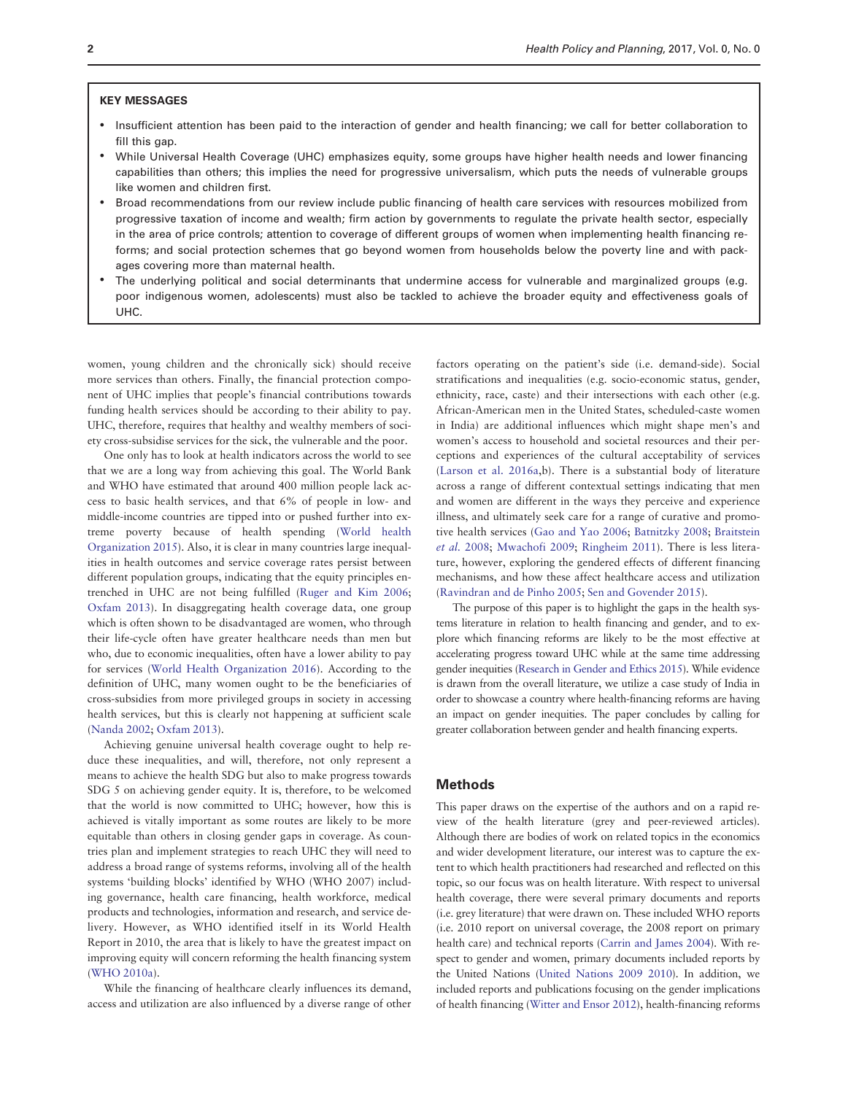## KEY MESSAGES

- Insufficient attention has been paid to the interaction of gender and health financing; we call for better collaboration to fill this gap.
- While Universal Health Coverage (UHC) emphasizes equity, some groups have higher health needs and lower financing capabilities than others; this implies the need for progressive universalism, which puts the needs of vulnerable groups like women and children first.
- Broad recommendations from our review include public financing of health care services with resources mobilized from progressive taxation of income and wealth; firm action by governments to regulate the private health sector, especially in the area of price controls; attention to coverage of different groups of women when implementing health financing reforms; and social protection schemes that go beyond women from households below the poverty line and with packages covering more than maternal health.
- The underlying political and social determinants that undermine access for vulnerable and marginalized groups (e.g. poor indigenous women, adolescents) must also be tackled to achieve the broader equity and effectiveness goals of UHC.

women, young children and the chronically sick) should receive more services than others. Finally, the financial protection component of UHC implies that people's financial contributions towards funding health services should be according to their ability to pay. UHC, therefore, requires that healthy and wealthy members of society cross-subsidise services for the sick, the vulnerable and the poor.

One only has to look at health indicators across the world to see that we are a long way from achieving this goal. The World Bank and WHO have estimated that around 400 million people lack access to basic health services, and that 6% of people in low- and middle-income countries are tipped into or pushed further into extreme poverty because of health spending ([World health](#page-8-0) [Organization 2015](#page-8-0)). Also, it is clear in many countries large inequalities in health outcomes and service coverage rates persist between different population groups, indicating that the equity principles entrenched in UHC are not being fulfilled ([Ruger and Kim 2006;](#page-8-0) [Oxfam 2013\)](#page-8-0). In disaggregating health coverage data, one group which is often shown to be disadvantaged are women, who through their life-cycle often have greater healthcare needs than men but who, due to economic inequalities, often have a lower ability to pay for services [\(World Health Organization 2016\)](#page-8-0). According to the definition of UHC, many women ought to be the beneficiaries of cross-subsidies from more privileged groups in society in accessing health services, but this is clearly not happening at sufficient scale ([Nanda 2002;](#page-8-0) [Oxfam 2013](#page-8-0)).

Achieving genuine universal health coverage ought to help reduce these inequalities, and will, therefore, not only represent a means to achieve the health SDG but also to make progress towards SDG 5 on achieving gender equity. It is, therefore, to be welcomed that the world is now committed to UHC; however, how this is achieved is vitally important as some routes are likely to be more equitable than others in closing gender gaps in coverage. As countries plan and implement strategies to reach UHC they will need to address a broad range of systems reforms, involving all of the health systems 'building blocks' identified by WHO (WHO 2007) including governance, health care financing, health workforce, medical products and technologies, information and research, and service delivery. However, as WHO identified itself in its World Health Report in 2010, the area that is likely to have the greatest impact on improving equity will concern reforming the health financing system ([WHO 2010a\)](#page-8-0).

While the financing of healthcare clearly influences its demand, access and utilization are also influenced by a diverse range of other

factors operating on the patient's side (i.e. demand-side). Social stratifications and inequalities (e.g. socio-economic status, gender, ethnicity, race, caste) and their intersections with each other (e.g. African-American men in the United States, scheduled-caste women in India) are additional influences which might shape men's and women's access to household and societal resources and their perceptions and experiences of the cultural acceptability of services ([Larson et al. 2016a](#page-7-0),b). There is a substantial body of literature across a range of different contextual settings indicating that men and women are different in the ways they perceive and experience illness, and ultimately seek care for a range of curative and promotive health services ([Gao and Yao 2006](#page-7-0); [Batnitzky 2008](#page-7-0); [Braitstein](#page-7-0) et al. [2008;](#page-7-0) [Mwachofi 2009](#page-8-0); [Ringheim 2011](#page-8-0)). There is less literature, however, exploring the gendered effects of different financing mechanisms, and how these affect healthcare access and utilization ([Ravindran and de Pinho 2005](#page-8-0); [Sen and Govender 2015](#page-8-0)).

The purpose of this paper is to highlight the gaps in the health systems literature in relation to health financing and gender, and to explore which financing reforms are likely to be the most effective at accelerating progress toward UHC while at the same time addressing gender inequities [\(Research in Gender and Ethics 2015](#page-8-0)). While evidence is drawn from the overall literature, we utilize a case study of India in order to showcase a country where health-financing reforms are having an impact on gender inequities. The paper concludes by calling for greater collaboration between gender and health financing experts.

## Methods

This paper draws on the expertise of the authors and on a rapid review of the health literature (grey and peer-reviewed articles). Although there are bodies of work on related topics in the economics and wider development literature, our interest was to capture the extent to which health practitioners had researched and reflected on this topic, so our focus was on health literature. With respect to universal health coverage, there were several primary documents and reports (i.e. grey literature) that were drawn on. These included WHO reports (i.e. 2010 report on universal coverage, the 2008 report on primary health care) and technical reports ([Carrin and James 2004](#page-7-0)). With respect to gender and women, primary documents included reports by the United Nations ([United Nations 2009 2010](#page-8-0)). In addition, we included reports and publications focusing on the gender implications of health financing ([Witter and Ensor 2012\)](#page-8-0), health-financing reforms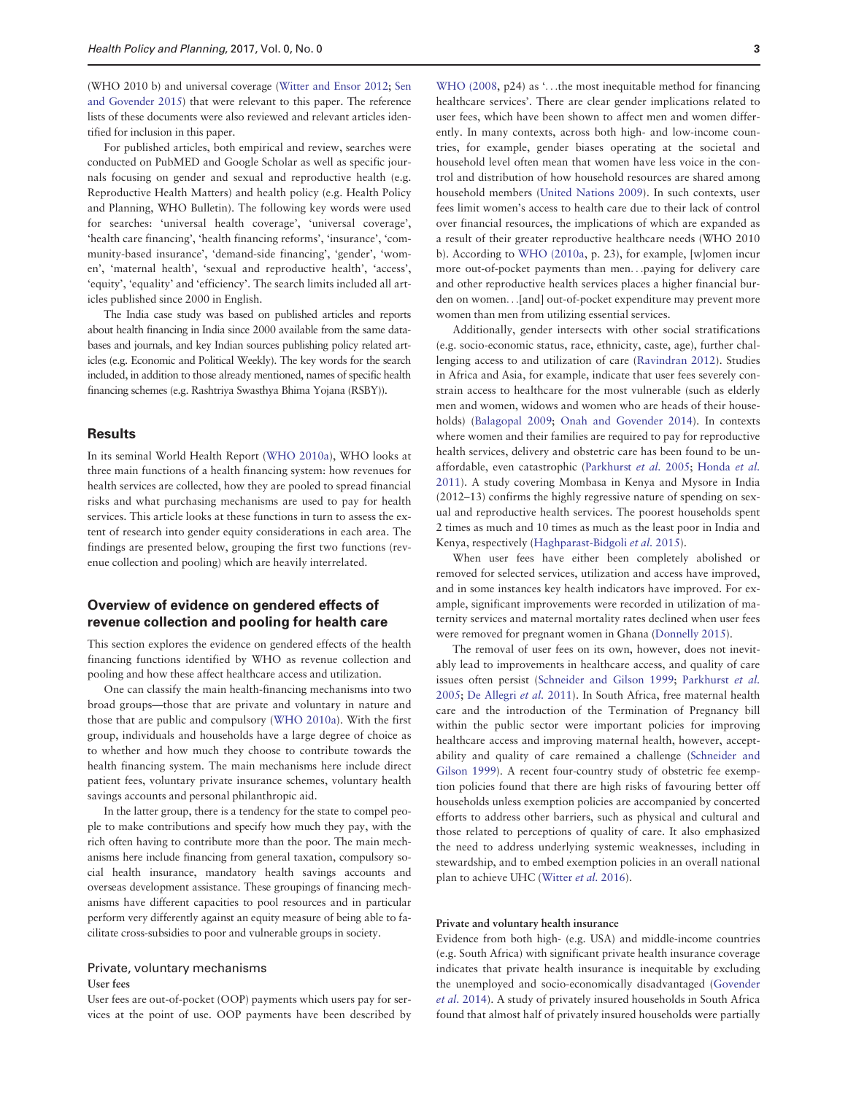(WHO 2010 b) and universal coverage ([Witter and Ensor 2012;](#page-8-0) [Sen](#page-8-0) [and Govender 2015\)](#page-8-0) that were relevant to this paper. The reference lists of these documents were also reviewed and relevant articles identified for inclusion in this paper.

For published articles, both empirical and review, searches were conducted on PubMED and Google Scholar as well as specific journals focusing on gender and sexual and reproductive health (e.g. Reproductive Health Matters) and health policy (e.g. Health Policy and Planning, WHO Bulletin). The following key words were used for searches: 'universal health coverage', 'universal coverage', 'health care financing', 'health financing reforms', 'insurance', 'community-based insurance', 'demand-side financing', 'gender', 'women', 'maternal health', 'sexual and reproductive health', 'access', 'equity', 'equality' and 'efficiency'. The search limits included all articles published since 2000 in English.

The India case study was based on published articles and reports about health financing in India since 2000 available from the same databases and journals, and key Indian sources publishing policy related articles (e.g. Economic and Political Weekly). The key words for the search included, in addition to those already mentioned, names of specific health financing schemes (e.g. Rashtriya Swasthya Bhima Yojana (RSBY)).

## **Results**

In its seminal World Health Report [\(WHO 2010a\)](#page-8-0), WHO looks at three main functions of a health financing system: how revenues for health services are collected, how they are pooled to spread financial risks and what purchasing mechanisms are used to pay for health services. This article looks at these functions in turn to assess the extent of research into gender equity considerations in each area. The findings are presented below, grouping the first two functions (revenue collection and pooling) which are heavily interrelated.

## Overview of evidence on gendered effects of revenue collection and pooling for health care

This section explores the evidence on gendered effects of the health financing functions identified by WHO as revenue collection and pooling and how these affect healthcare access and utilization.

One can classify the main health-financing mechanisms into two broad groups—those that are private and voluntary in nature and those that are public and compulsory ([WHO 2010a](#page-8-0)). With the first group, individuals and households have a large degree of choice as to whether and how much they choose to contribute towards the health financing system. The main mechanisms here include direct patient fees, voluntary private insurance schemes, voluntary health savings accounts and personal philanthropic aid.

In the latter group, there is a tendency for the state to compel people to make contributions and specify how much they pay, with the rich often having to contribute more than the poor. The main mechanisms here include financing from general taxation, compulsory social health insurance, mandatory health savings accounts and overseas development assistance. These groupings of financing mechanisms have different capacities to pool resources and in particular perform very differently against an equity measure of being able to facilitate cross-subsidies to poor and vulnerable groups in society.

## Private, voluntary mechanisms

#### User fees

User fees are out-of-pocket (OOP) payments which users pay for services at the point of use. OOP payments have been described by

[WHO \(2008](#page-8-0), p24) as '...the most inequitable method for financing healthcare services'. There are clear gender implications related to user fees, which have been shown to affect men and women differently. In many contexts, across both high- and low-income countries, for example, gender biases operating at the societal and household level often mean that women have less voice in the control and distribution of how household resources are shared among household members [\(United Nations 2009](#page-8-0)). In such contexts, user fees limit women's access to health care due to their lack of control over financial resources, the implications of which are expanded as a result of their greater reproductive healthcare needs (WHO 2010 b). According to [WHO \(2010a](#page-8-0), p. 23), for example, [w]omen incur more out-of-pocket payments than men...paying for delivery care and other reproductive health services places a higher financial burden on women...[and] out-of-pocket expenditure may prevent more women than men from utilizing essential services.

Additionally, gender intersects with other social stratifications (e.g. socio-economic status, race, ethnicity, caste, age), further challenging access to and utilization of care [\(Ravindran 2012\)](#page-8-0). Studies in Africa and Asia, for example, indicate that user fees severely constrain access to healthcare for the most vulnerable (such as elderly men and women, widows and women who are heads of their households) ([Balagopal 2009;](#page-7-0) [Onah and Govender 2014](#page-8-0)). In contexts where women and their families are required to pay for reproductive health services, delivery and obstetric care has been found to be unaffordable, even catastrophic ([Parkhurst](#page-8-0) et al. 2005; [Honda](#page-7-0) et al. [2011\)](#page-7-0). A study covering Mombasa in Kenya and Mysore in India (2012–13) confirms the highly regressive nature of spending on sexual and reproductive health services. The poorest households spent 2 times as much and 10 times as much as the least poor in India and Kenya, respectively ([Haghparast-Bidgoli](#page-7-0) et al. 2015).

When user fees have either been completely abolished or removed for selected services, utilization and access have improved, and in some instances key health indicators have improved. For example, significant improvements were recorded in utilization of maternity services and maternal mortality rates declined when user fees were removed for pregnant women in Ghana [\(Donnelly 2015\)](#page-7-0).

The removal of user fees on its own, however, does not inevitably lead to improvements in healthcare access, and quality of care issues often persist ([Schneider and Gilson 1999;](#page-8-0) [Parkhurst](#page-8-0) et al. [2005;](#page-8-0) [De Allegri](#page-7-0) et al. 2011). In South Africa, free maternal health care and the introduction of the Termination of Pregnancy bill within the public sector were important policies for improving healthcare access and improving maternal health, however, acceptability and quality of care remained a challenge ([Schneider and](#page-8-0) [Gilson 1999](#page-8-0)). A recent four-country study of obstetric fee exemption policies found that there are high risks of favouring better off households unless exemption policies are accompanied by concerted efforts to address other barriers, such as physical and cultural and those related to perceptions of quality of care. It also emphasized the need to address underlying systemic weaknesses, including in stewardship, and to embed exemption policies in an overall national plan to achieve UHC [\(Witter](#page-8-0) et al. 2016).

## Private and voluntary health insurance

Evidence from both high- (e.g. USA) and middle-income countries (e.g. South Africa) with significant private health insurance coverage indicates that private health insurance is inequitable by excluding the unemployed and socio-economically disadvantaged ([Govender](#page-7-0) et al. [2014\)](#page-7-0). A study of privately insured households in South Africa found that almost half of privately insured households were partially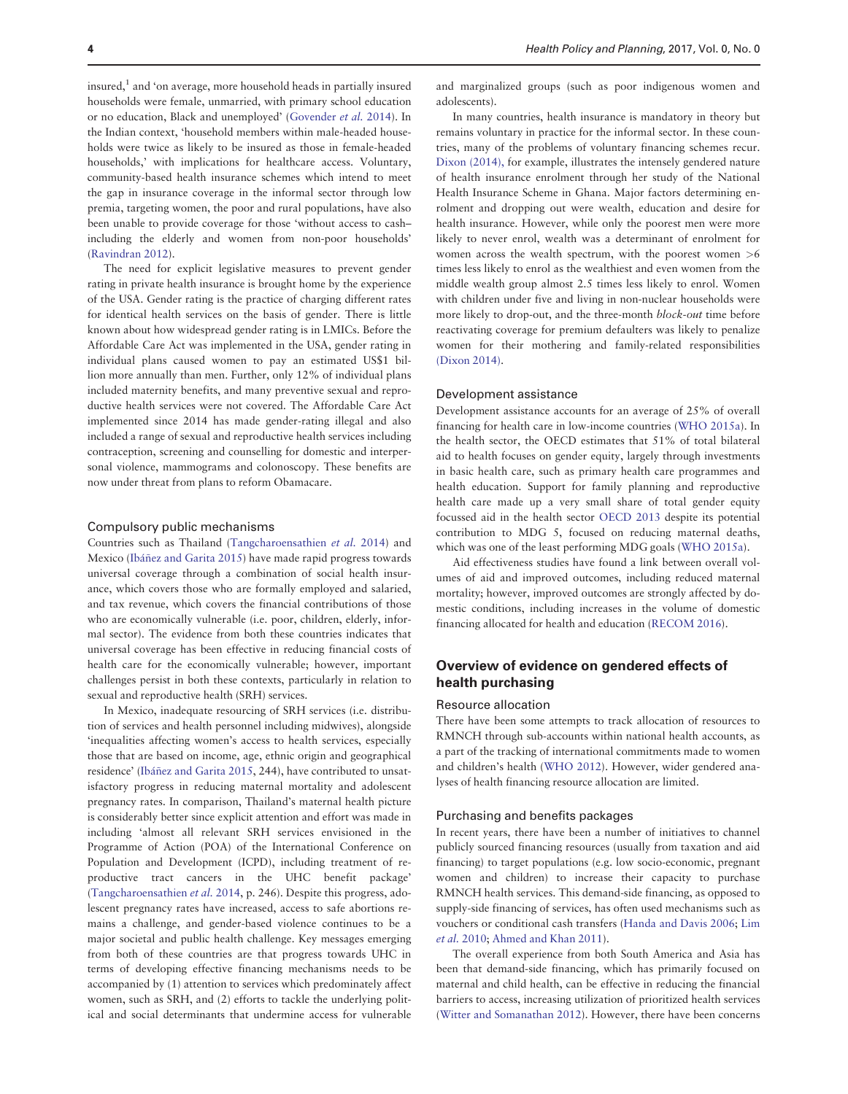insured, $<sup>1</sup>$  and 'on average, more household heads in partially insured</sup> households were female, unmarried, with primary school education or no education, Black and unemployed' [\(Govender](#page-7-0) et al. 2014). In the Indian context, 'household members within male-headed households were twice as likely to be insured as those in female-headed households,' with implications for healthcare access. Voluntary, community-based health insurance schemes which intend to meet the gap in insurance coverage in the informal sector through low premia, targeting women, the poor and rural populations, have also been unable to provide coverage for those 'without access to cash– including the elderly and women from non-poor households' ([Ravindran 2012\)](#page-8-0).

The need for explicit legislative measures to prevent gender rating in private health insurance is brought home by the experience of the USA. Gender rating is the practice of charging different rates for identical health services on the basis of gender. There is little known about how widespread gender rating is in LMICs. Before the Affordable Care Act was implemented in the USA, gender rating in individual plans caused women to pay an estimated US\$1 billion more annually than men. Further, only 12% of individual plans included maternity benefits, and many preventive sexual and reproductive health services were not covered. The Affordable Care Act implemented since 2014 has made gender-rating illegal and also included a range of sexual and reproductive health services including contraception, screening and counselling for domestic and interpersonal violence, mammograms and colonoscopy. These benefits are now under threat from plans to reform Obamacare.

#### Compulsory public mechanisms

Countries such as Thailand [\(Tangcharoensathien](#page-8-0) et al. 2014) and Mexico ([Ib](#page-7-0)áñez and Garita 2015) have made rapid progress towards universal coverage through a combination of social health insurance, which covers those who are formally employed and salaried, and tax revenue, which covers the financial contributions of those who are economically vulnerable (i.e. poor, children, elderly, informal sector). The evidence from both these countries indicates that universal coverage has been effective in reducing financial costs of health care for the economically vulnerable; however, important challenges persist in both these contexts, particularly in relation to sexual and reproductive health (SRH) services.

In Mexico, inadequate resourcing of SRH services (i.e. distribution of services and health personnel including midwives), alongside 'inequalities affecting women's access to health services, especially those that are based on income, age, ethnic origin and geographical residence' ([Ib](#page-7-0)áñez and Garita 2015, 244), have contributed to unsatisfactory progress in reducing maternal mortality and adolescent pregnancy rates. In comparison, Thailand's maternal health picture is considerably better since explicit attention and effort was made in including 'almost all relevant SRH services envisioned in the Programme of Action (POA) of the International Conference on Population and Development (ICPD), including treatment of reproductive tract cancers in the UHC benefit package' ([Tangcharoensathien](#page-8-0) et al. 2014, p. 246). Despite this progress, adolescent pregnancy rates have increased, access to safe abortions remains a challenge, and gender-based violence continues to be a major societal and public health challenge. Key messages emerging from both of these countries are that progress towards UHC in terms of developing effective financing mechanisms needs to be accompanied by (1) attention to services which predominately affect women, such as SRH, and (2) efforts to tackle the underlying political and social determinants that undermine access for vulnerable

and marginalized groups (such as poor indigenous women and adolescents).

In many countries, health insurance is mandatory in theory but remains voluntary in practice for the informal sector. In these countries, many of the problems of voluntary financing schemes recur. [Dixon \(2014\),](#page-7-0) for example, illustrates the intensely gendered nature of health insurance enrolment through her study of the National Health Insurance Scheme in Ghana. Major factors determining enrolment and dropping out were wealth, education and desire for health insurance. However, while only the poorest men were more likely to never enrol, wealth was a determinant of enrolment for women across the wealth spectrum, with the poorest women >6 times less likely to enrol as the wealthiest and even women from the middle wealth group almost 2.5 times less likely to enrol. Women with children under five and living in non-nuclear households were more likely to drop-out, and the three-month block-out time before reactivating coverage for premium defaulters was likely to penalize women for their mothering and family-related responsibilities [\(Dixon 2014\).](#page-7-0)

### Development assistance

Development assistance accounts for an average of 25% of overall financing for health care in low-income countries ([WHO 2015a\)](#page-8-0). In the health sector, the OECD estimates that 51% of total bilateral aid to health focuses on gender equity, largely through investments in basic health care, such as primary health care programmes and health education. Support for family planning and reproductive health care made up a very small share of total gender equity focussed aid in the health sector [OECD 2013](#page-8-0) despite its potential contribution to MDG 5, focused on reducing maternal deaths, which was one of the least performing MDG goals [\(WHO 2015a\)](#page-8-0).

Aid effectiveness studies have found a link between overall volumes of aid and improved outcomes, including reduced maternal mortality; however, improved outcomes are strongly affected by domestic conditions, including increases in the volume of domestic financing allocated for health and education ([RECOM 2016](#page-8-0)).

## Overview of evidence on gendered effects of health purchasing

#### Resource allocation

There have been some attempts to track allocation of resources to RMNCH through sub-accounts within national health accounts, as a part of the tracking of international commitments made to women and children's health ([WHO 2012](#page-8-0)). However, wider gendered analyses of health financing resource allocation are limited.

## Purchasing and benefits packages

In recent years, there have been a number of initiatives to channel publicly sourced financing resources (usually from taxation and aid financing) to target populations (e.g. low socio-economic, pregnant women and children) to increase their capacity to purchase RMNCH health services. This demand-side financing, as opposed to supply-side financing of services, has often used mechanisms such as vouchers or conditional cash transfers ([Handa and Davis 2006;](#page-7-0) [Lim](#page-8-0) et al. [2010](#page-8-0); [Ahmed and Khan 2011](#page-7-0)).

The overall experience from both South America and Asia has been that demand-side financing, which has primarily focused on maternal and child health, can be effective in reducing the financial barriers to access, increasing utilization of prioritized health services ([Witter and Somanathan 2012\)](#page-8-0). However, there have been concerns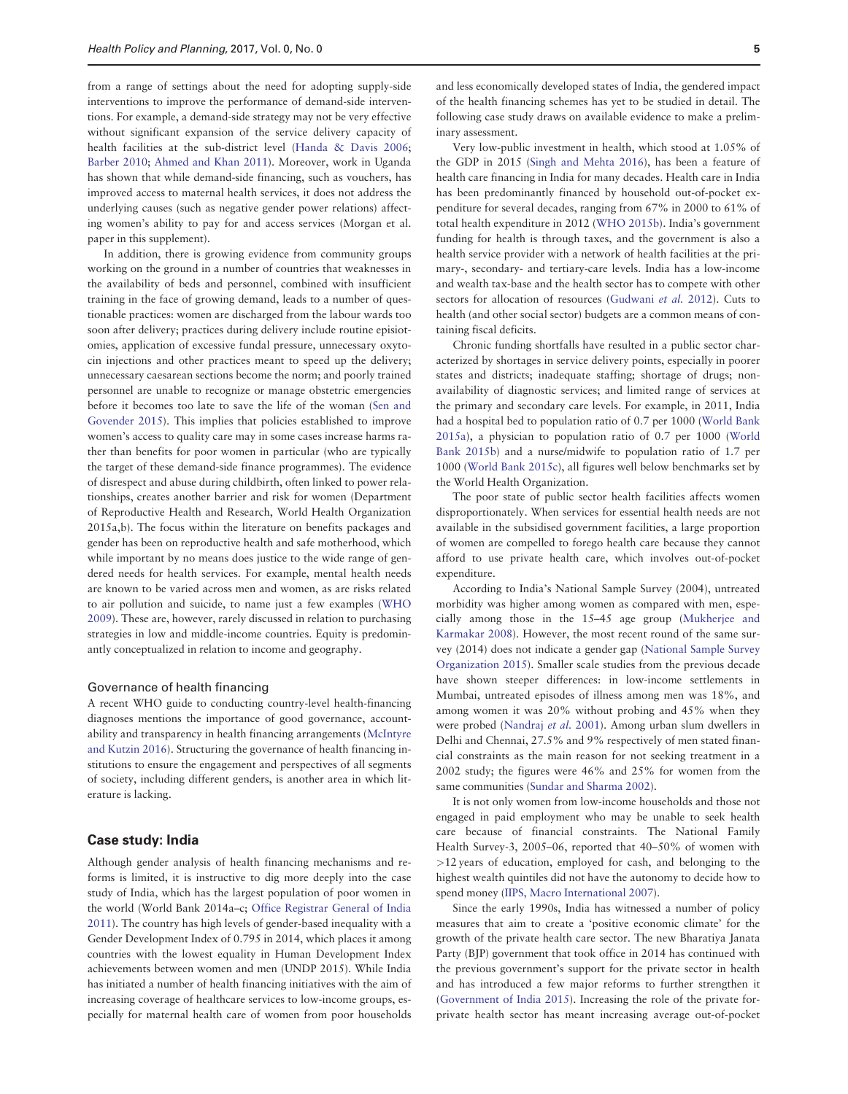from a range of settings about the need for adopting supply-side interventions to improve the performance of demand-side interventions. For example, a demand-side strategy may not be very effective without significant expansion of the service delivery capacity of health facilities at the sub-district level ([Handa](#page-7-0) & [Davis 2006;](#page-7-0) [Barber 2010;](#page-7-0) [Ahmed and Khan 2011\)](#page-7-0). Moreover, work in Uganda has shown that while demand-side financing, such as vouchers, has improved access to maternal health services, it does not address the underlying causes (such as negative gender power relations) affecting women's ability to pay for and access services (Morgan et al. paper in this supplement).

In addition, there is growing evidence from community groups working on the ground in a number of countries that weaknesses in the availability of beds and personnel, combined with insufficient training in the face of growing demand, leads to a number of questionable practices: women are discharged from the labour wards too soon after delivery; practices during delivery include routine episiotomies, application of excessive fundal pressure, unnecessary oxytocin injections and other practices meant to speed up the delivery; unnecessary caesarean sections become the norm; and poorly trained personnel are unable to recognize or manage obstetric emergencies before it becomes too late to save the life of the woman [\(Sen and](#page-8-0) [Govender 2015\)](#page-8-0). This implies that policies established to improve women's access to quality care may in some cases increase harms rather than benefits for poor women in particular (who are typically the target of these demand-side finance programmes). The evidence of disrespect and abuse during childbirth, often linked to power relationships, creates another barrier and risk for women (Department of Reproductive Health and Research, World Health Organization 2015a,b). The focus within the literature on benefits packages and gender has been on reproductive health and safe motherhood, which while important by no means does justice to the wide range of gendered needs for health services. For example, mental health needs are known to be varied across men and women, as are risks related to air pollution and suicide, to name just a few examples ([WHO](#page-8-0) [2009\)](#page-8-0). These are, however, rarely discussed in relation to purchasing strategies in low and middle-income countries. Equity is predominantly conceptualized in relation to income and geography.

### Governance of health financing

A recent WHO guide to conducting country-level health-financing diagnoses mentions the importance of good governance, accountability and transparency in health financing arrangements [\(McIntyre](#page-8-0) [and Kutzin 2016\)](#page-8-0). Structuring the governance of health financing institutions to ensure the engagement and perspectives of all segments of society, including different genders, is another area in which literature is lacking.

## Case study: India

Although gender analysis of health financing mechanisms and reforms is limited, it is instructive to dig more deeply into the case study of India, which has the largest population of poor women in the world (World Bank 2014a–c; [Office Registrar General of India](#page-8-0) [2011\)](#page-8-0). The country has high levels of gender-based inequality with a Gender Development Index of 0.795 in 2014, which places it among countries with the lowest equality in Human Development Index achievements between women and men (UNDP 2015). While India has initiated a number of health financing initiatives with the aim of increasing coverage of healthcare services to low-income groups, especially for maternal health care of women from poor households

and less economically developed states of India, the gendered impact of the health financing schemes has yet to be studied in detail. The following case study draws on available evidence to make a preliminary assessment.

Very low-public investment in health, which stood at 1.05% of the GDP in 2015 ([Singh and Mehta 2016](#page-8-0)), has been a feature of health care financing in India for many decades. Health care in India has been predominantly financed by household out-of-pocket expenditure for several decades, ranging from 67% in 2000 to 61% of total health expenditure in 2012 ([WHO 2015b](#page-8-0)). India's government funding for health is through taxes, and the government is also a health service provider with a network of health facilities at the primary-, secondary- and tertiary-care levels. India has a low-income and wealth tax-base and the health sector has to compete with other sectors for allocation of resources ([Gudwani](#page-7-0) et al. 2012). Cuts to health (and other social sector) budgets are a common means of containing fiscal deficits.

Chronic funding shortfalls have resulted in a public sector characterized by shortages in service delivery points, especially in poorer states and districts; inadequate staffing; shortage of drugs; nonavailability of diagnostic services; and limited range of services at the primary and secondary care levels. For example, in 2011, India had a hospital bed to population ratio of 0.7 per 1000 [\(World Bank](#page-8-0) [2015a\)](#page-8-0), a physician to population ratio of 0.7 per 1000 [\(World](#page-8-0) [Bank 2015b](#page-8-0)) and a nurse/midwife to population ratio of 1.7 per 1000 ([World Bank 2015c\)](#page-8-0), all figures well below benchmarks set by the World Health Organization.

The poor state of public sector health facilities affects women disproportionately. When services for essential health needs are not available in the subsidised government facilities, a large proportion of women are compelled to forego health care because they cannot afford to use private health care, which involves out-of-pocket expenditure.

According to India's National Sample Survey (2004), untreated morbidity was higher among women as compared with men, especially among those in the 15–45 age group [\(Mukherjee and](#page-8-0) [Karmakar 2008](#page-8-0)). However, the most recent round of the same survey (2014) does not indicate a gender gap ([National Sample Survey](#page-8-0) [Organization 2015\)](#page-8-0). Smaller scale studies from the previous decade have shown steeper differences: in low-income settlements in Mumbai, untreated episodes of illness among men was 18%, and among women it was 20% without probing and 45% when they were probed [\(Nandraj](#page-8-0) et al. 2001). Among urban slum dwellers in Delhi and Chennai, 27.5% and 9% respectively of men stated financial constraints as the main reason for not seeking treatment in a 2002 study; the figures were 46% and 25% for women from the same communities ([Sundar and Sharma 2002\)](#page-8-0).

It is not only women from low-income households and those not engaged in paid employment who may be unable to seek health care because of financial constraints. The National Family Health Survey-3, 2005–06, reported that 40–50% of women with >12 years of education, employed for cash, and belonging to the highest wealth quintiles did not have the autonomy to decide how to spend money ([IIPS, Macro International 2007\)](#page-7-0).

Since the early 1990s, India has witnessed a number of policy measures that aim to create a 'positive economic climate' for the growth of the private health care sector. The new Bharatiya Janata Party (BJP) government that took office in 2014 has continued with the previous government's support for the private sector in health and has introduced a few major reforms to further strengthen it ([Government of India 2015](#page-7-0)). Increasing the role of the private forprivate health sector has meant increasing average out-of-pocket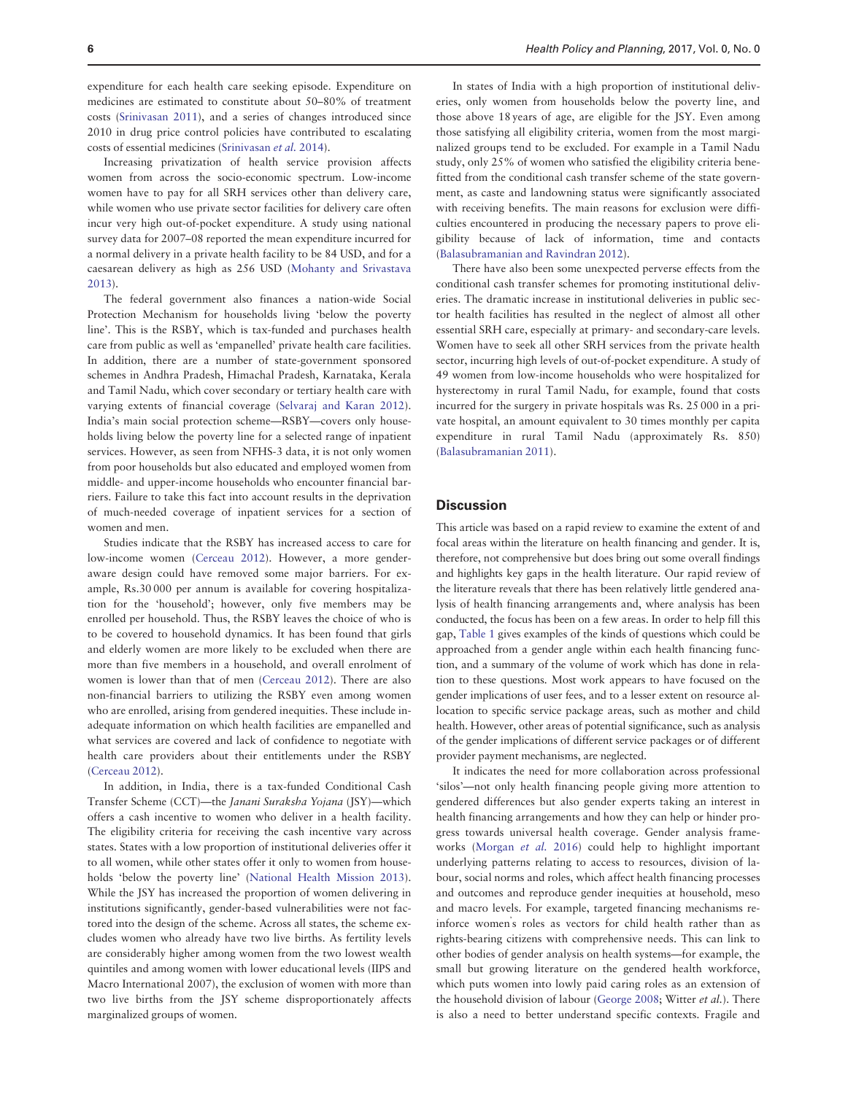expenditure for each health care seeking episode. Expenditure on medicines are estimated to constitute about 50–80% of treatment costs [\(Srinivasan 2011\)](#page-8-0), and a series of changes introduced since 2010 in drug price control policies have contributed to escalating costs of essential medicines [\(Srinivasan](#page-8-0) et al. 2014).

Increasing privatization of health service provision affects women from across the socio-economic spectrum. Low-income women have to pay for all SRH services other than delivery care, while women who use private sector facilities for delivery care often incur very high out-of-pocket expenditure. A study using national survey data for 2007–08 reported the mean expenditure incurred for a normal delivery in a private health facility to be 84 USD, and for a caesarean delivery as high as 256 USD [\(Mohanty and Srivastava](#page-8-0) [2013\)](#page-8-0).

The federal government also finances a nation-wide Social Protection Mechanism for households living 'below the poverty line'. This is the RSBY, which is tax-funded and purchases health care from public as well as 'empanelled' private health care facilities. In addition, there are a number of state-government sponsored schemes in Andhra Pradesh, Himachal Pradesh, Karnataka, Kerala and Tamil Nadu, which cover secondary or tertiary health care with varying extents of financial coverage ([Selvaraj and Karan 2012](#page-8-0)). India's main social protection scheme—RSBY—covers only households living below the poverty line for a selected range of inpatient services. However, as seen from NFHS-3 data, it is not only women from poor households but also educated and employed women from middle- and upper-income households who encounter financial barriers. Failure to take this fact into account results in the deprivation of much-needed coverage of inpatient services for a section of women and men.

Studies indicate that the RSBY has increased access to care for low-income women [\(Cerceau 2012\)](#page-7-0). However, a more genderaware design could have removed some major barriers. For example, Rs.30 000 per annum is available for covering hospitalization for the 'household'; however, only five members may be enrolled per household. Thus, the RSBY leaves the choice of who is to be covered to household dynamics. It has been found that girls and elderly women are more likely to be excluded when there are more than five members in a household, and overall enrolment of women is lower than that of men [\(Cerceau 2012](#page-7-0)). There are also non-financial barriers to utilizing the RSBY even among women who are enrolled, arising from gendered inequities. These include inadequate information on which health facilities are empanelled and what services are covered and lack of confidence to negotiate with health care providers about their entitlements under the RSBY ([Cerceau 2012](#page-7-0)).

In addition, in India, there is a tax-funded Conditional Cash Transfer Scheme (CCT)—the Janani Suraksha Yojana (JSY)—which offers a cash incentive to women who deliver in a health facility. The eligibility criteria for receiving the cash incentive vary across states. States with a low proportion of institutional deliveries offer it to all women, while other states offer it only to women from households 'below the poverty line' [\(National Health Mission 2013](#page-8-0)). While the JSY has increased the proportion of women delivering in institutions significantly, gender-based vulnerabilities were not factored into the design of the scheme. Across all states, the scheme excludes women who already have two live births. As fertility levels are considerably higher among women from the two lowest wealth quintiles and among women with lower educational levels (IIPS and Macro International 2007), the exclusion of women with more than two live births from the JSY scheme disproportionately affects marginalized groups of women.

In states of India with a high proportion of institutional deliveries, only women from households below the poverty line, and those above 18 years of age, are eligible for the JSY. Even among those satisfying all eligibility criteria, women from the most marginalized groups tend to be excluded. For example in a Tamil Nadu study, only 25% of women who satisfied the eligibility criteria benefitted from the conditional cash transfer scheme of the state government, as caste and landowning status were significantly associated with receiving benefits. The main reasons for exclusion were difficulties encountered in producing the necessary papers to prove eligibility because of lack of information, time and contacts ([Balasubramanian and Ravindran 2012](#page-7-0)).

There have also been some unexpected perverse effects from the conditional cash transfer schemes for promoting institutional deliveries. The dramatic increase in institutional deliveries in public sector health facilities has resulted in the neglect of almost all other essential SRH care, especially at primary- and secondary-care levels. Women have to seek all other SRH services from the private health sector, incurring high levels of out-of-pocket expenditure. A study of 49 women from low-income households who were hospitalized for hysterectomy in rural Tamil Nadu, for example, found that costs incurred for the surgery in private hospitals was Rs. 25 000 in a private hospital, an amount equivalent to 30 times monthly per capita expenditure in rural Tamil Nadu (approximately Rs. 850) ([Balasubramanian 2011](#page-7-0)).

## **Discussion**

This article was based on a rapid review to examine the extent of and focal areas within the literature on health financing and gender. It is, therefore, not comprehensive but does bring out some overall findings and highlights key gaps in the health literature. Our rapid review of the literature reveals that there has been relatively little gendered analysis of health financing arrangements and, where analysis has been conducted, the focus has been on a few areas. In order to help fill this gap, [Table 1](#page-6-0) gives examples of the kinds of questions which could be approached from a gender angle within each health financing function, and a summary of the volume of work which has done in relation to these questions. Most work appears to have focused on the gender implications of user fees, and to a lesser extent on resource allocation to specific service package areas, such as mother and child health. However, other areas of potential significance, such as analysis of the gender implications of different service packages or of different provider payment mechanisms, are neglected.

It indicates the need for more collaboration across professional 'silos'—not only health financing people giving more attention to gendered differences but also gender experts taking an interest in health financing arrangements and how they can help or hinder progress towards universal health coverage. Gender analysis frameworks ([Morgan](#page-8-0) et al. 2016) could help to highlight important underlying patterns relating to access to resources, division of labour, social norms and roles, which affect health financing processes and outcomes and reproduce gender inequities at household, meso and macro levels. For example, targeted financing mechanisms reinforce women' s roles as vectors for child health rather than as rights-bearing citizens with comprehensive needs. This can link to other bodies of gender analysis on health systems—for example, the small but growing literature on the gendered health workforce, which puts women into lowly paid caring roles as an extension of the household division of labour [\(George 2008](#page-7-0); Witter et al.). There is also a need to better understand specific contexts. Fragile and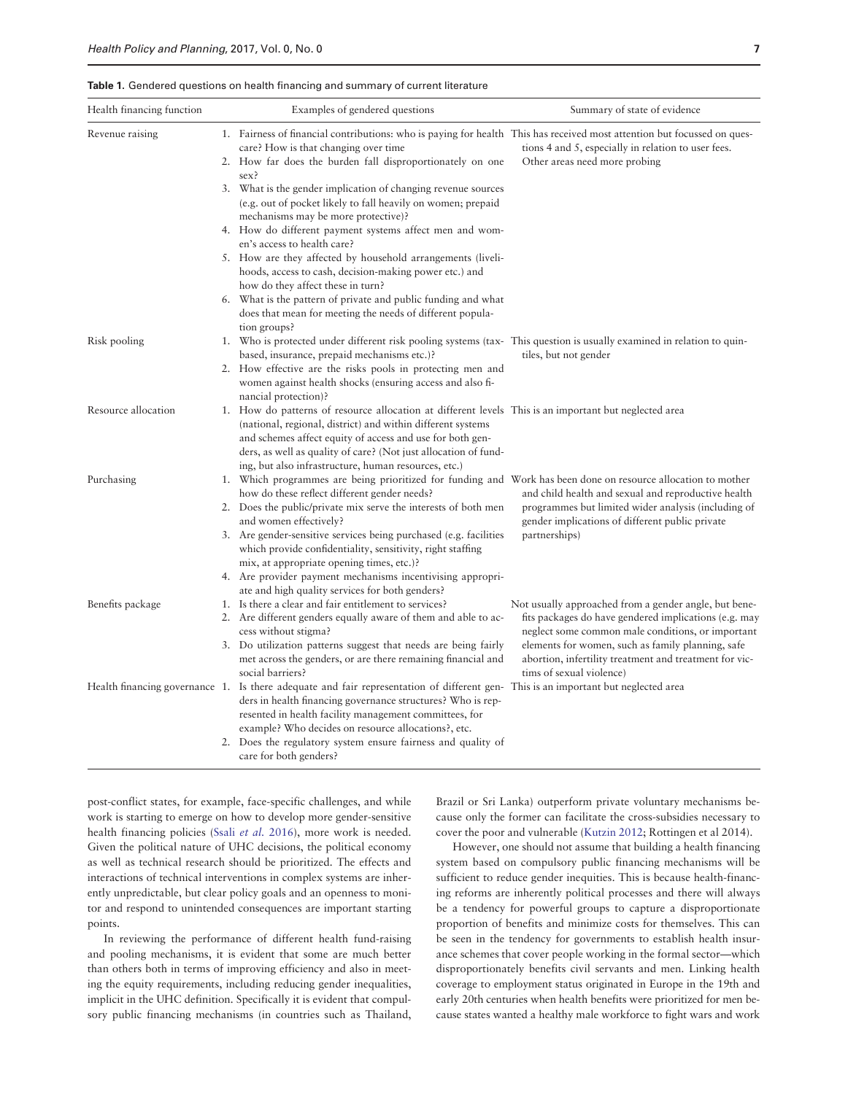<span id="page-6-0"></span>Table 1. Gendered questions on health financing and summary of current literature

| Health financing function | Examples of gendered questions                                                                                                                                                                                                                                                                                                                                | Summary of state of evidence                                                                                                                                                                                                                                                                                   |
|---------------------------|---------------------------------------------------------------------------------------------------------------------------------------------------------------------------------------------------------------------------------------------------------------------------------------------------------------------------------------------------------------|----------------------------------------------------------------------------------------------------------------------------------------------------------------------------------------------------------------------------------------------------------------------------------------------------------------|
| Revenue raising           | 1. Fairness of financial contributions: who is paying for health This has received most attention but focussed on ques-<br>care? How is that changing over time<br>2. How far does the burden fall disproportionately on one<br>sex?                                                                                                                          | tions 4 and 5, especially in relation to user fees.<br>Other areas need more probing                                                                                                                                                                                                                           |
|                           | 3. What is the gender implication of changing revenue sources<br>(e.g. out of pocket likely to fall heavily on women; prepaid<br>mechanisms may be more protective)?                                                                                                                                                                                          |                                                                                                                                                                                                                                                                                                                |
|                           | 4. How do different payment systems affect men and wom-<br>en's access to health care?                                                                                                                                                                                                                                                                        |                                                                                                                                                                                                                                                                                                                |
|                           | 5. How are they affected by household arrangements (liveli-<br>hoods, access to cash, decision-making power etc.) and<br>how do they affect these in turn?                                                                                                                                                                                                    |                                                                                                                                                                                                                                                                                                                |
|                           | 6. What is the pattern of private and public funding and what<br>does that mean for meeting the needs of different popula-<br>tion groups?                                                                                                                                                                                                                    |                                                                                                                                                                                                                                                                                                                |
| Risk pooling              | 1. Who is protected under different risk pooling systems (tax-This question is usually examined in relation to quin-<br>based, insurance, prepaid mechanisms etc.)?                                                                                                                                                                                           | tiles, but not gender                                                                                                                                                                                                                                                                                          |
|                           | 2. How effective are the risks pools in protecting men and<br>women against health shocks (ensuring access and also fi-<br>nancial protection)?                                                                                                                                                                                                               |                                                                                                                                                                                                                                                                                                                |
| Resource allocation       | 1. How do patterns of resource allocation at different levels. This is an important but neglected area<br>(national, regional, district) and within different systems<br>and schemes affect equity of access and use for both gen-<br>ders, as well as quality of care? (Not just allocation of fund-<br>ing, but also infrastructure, human resources, etc.) |                                                                                                                                                                                                                                                                                                                |
| Purchasing                | 1. Which programmes are being prioritized for funding and Work has been done on resource allocation to mother<br>how do these reflect different gender needs?                                                                                                                                                                                                 | and child health and sexual and reproductive health<br>programmes but limited wider analysis (including of<br>gender implications of different public private<br>partnerships)                                                                                                                                 |
|                           | 2. Does the public/private mix serve the interests of both men<br>and women effectively?                                                                                                                                                                                                                                                                      |                                                                                                                                                                                                                                                                                                                |
|                           | 3. Are gender-sensitive services being purchased (e.g. facilities<br>which provide confidentiality, sensitivity, right staffing<br>mix, at appropriate opening times, etc.)?                                                                                                                                                                                  |                                                                                                                                                                                                                                                                                                                |
|                           | 4. Are provider payment mechanisms incentivising appropri-<br>ate and high quality services for both genders?                                                                                                                                                                                                                                                 |                                                                                                                                                                                                                                                                                                                |
| Benefits package          | 1. Is there a clear and fair entitlement to services?<br>2. Are different genders equally aware of them and able to ac-                                                                                                                                                                                                                                       | Not usually approached from a gender angle, but bene-<br>fits packages do have gendered implications (e.g. may<br>neglect some common male conditions, or important<br>elements for women, such as family planning, safe<br>abortion, infertility treatment and treatment for vic-<br>tims of sexual violence) |
|                           | cess without stigma?                                                                                                                                                                                                                                                                                                                                          |                                                                                                                                                                                                                                                                                                                |
|                           | 3. Do utilization patterns suggest that needs are being fairly<br>met across the genders, or are there remaining financial and<br>social barriers?                                                                                                                                                                                                            |                                                                                                                                                                                                                                                                                                                |
|                           | Health financing governance 1. Is there adequate and fair representation of different gen-This is an important but neglected area<br>ders in health financing governance structures? Who is rep-<br>resented in health facility management committees, for<br>example? Who decides on resource allocations?, etc.                                             |                                                                                                                                                                                                                                                                                                                |
|                           | 2. Does the regulatory system ensure fairness and quality of<br>care for both genders?                                                                                                                                                                                                                                                                        |                                                                                                                                                                                                                                                                                                                |

post-conflict states, for example, face-specific challenges, and while work is starting to emerge on how to develop more gender-sensitive health financing policies (Ssali [et al.](#page-8-0) 2016), more work is needed. Given the political nature of UHC decisions, the political economy as well as technical research should be prioritized. The effects and interactions of technical interventions in complex systems are inherently unpredictable, but clear policy goals and an openness to monitor and respond to unintended consequences are important starting points.

In reviewing the performance of different health fund-raising and pooling mechanisms, it is evident that some are much better than others both in terms of improving efficiency and also in meeting the equity requirements, including reducing gender inequalities, implicit in the UHC definition. Specifically it is evident that compulsory public financing mechanisms (in countries such as Thailand,

Brazil or Sri Lanka) outperform private voluntary mechanisms because only the former can facilitate the cross-subsidies necessary to cover the poor and vulnerable [\(Kutzin 2012;](#page-8-0) Rottingen et al 2014).

However, one should not assume that building a health financing system based on compulsory public financing mechanisms will be sufficient to reduce gender inequities. This is because health-financing reforms are inherently political processes and there will always be a tendency for powerful groups to capture a disproportionate proportion of benefits and minimize costs for themselves. This can be seen in the tendency for governments to establish health insurance schemes that cover people working in the formal sector—which disproportionately benefits civil servants and men. Linking health coverage to employment status originated in Europe in the 19th and early 20th centuries when health benefits were prioritized for men because states wanted a healthy male workforce to fight wars and work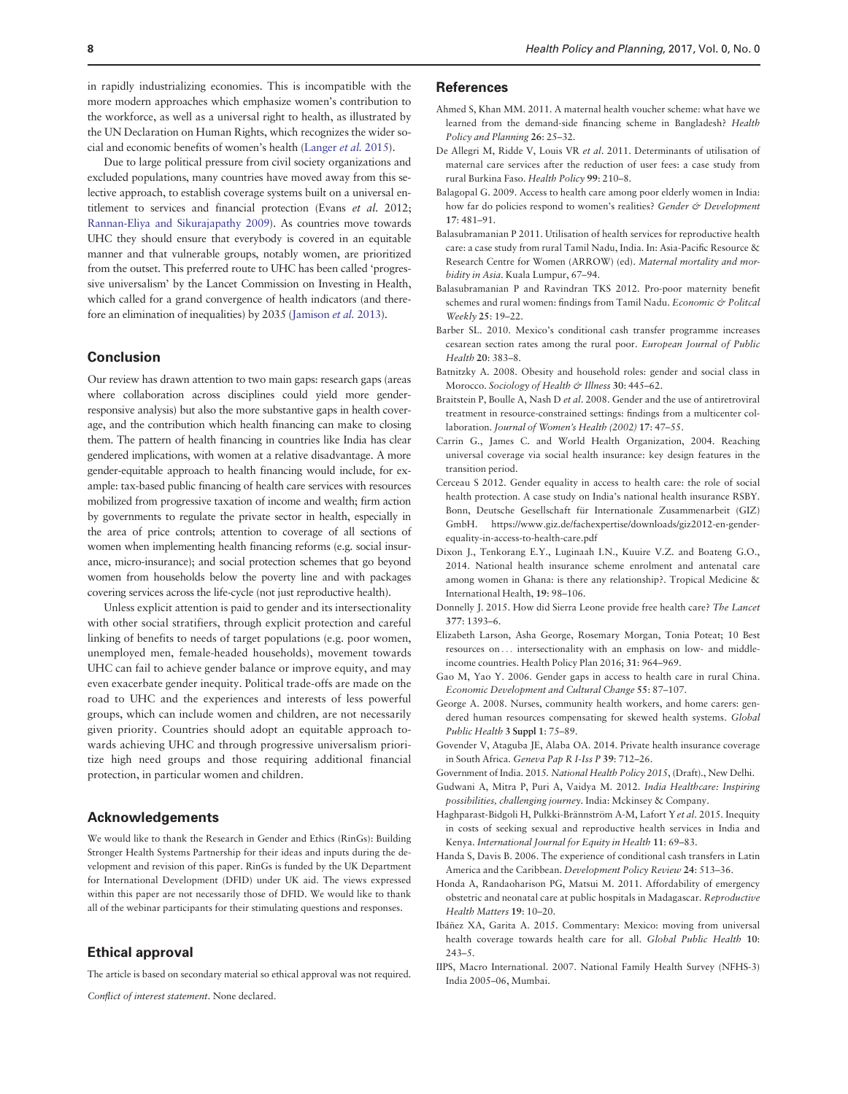<span id="page-7-0"></span>in rapidly industrializing economies. This is incompatible with the more modern approaches which emphasize women's contribution to the workforce, as well as a universal right to health, as illustrated by the UN Declaration on Human Rights, which recognizes the wider social and economic benefits of women's health ([Langer](#page-8-0) et al. 2015).

Due to large political pressure from civil society organizations and excluded populations, many countries have moved away from this selective approach, to establish coverage systems built on a universal entitlement to services and financial protection (Evans et al. 2012; [Rannan-Eliya and Sikurajapathy 2009\)](#page-8-0). As countries move towards UHC they should ensure that everybody is covered in an equitable manner and that vulnerable groups, notably women, are prioritized from the outset. This preferred route to UHC has been called 'progressive universalism' by the Lancet Commission on Investing in Health, which called for a grand convergence of health indicators (and therefore an elimination of inequalities) by 2035 [\(Jamison](#page-8-0) et al. 2013).

## Conclusion

Our review has drawn attention to two main gaps: research gaps (areas where collaboration across disciplines could yield more genderresponsive analysis) but also the more substantive gaps in health coverage, and the contribution which health financing can make to closing them. The pattern of health financing in countries like India has clear gendered implications, with women at a relative disadvantage. A more gender-equitable approach to health financing would include, for example: tax-based public financing of health care services with resources mobilized from progressive taxation of income and wealth; firm action by governments to regulate the private sector in health, especially in the area of price controls; attention to coverage of all sections of women when implementing health financing reforms (e.g. social insurance, micro-insurance); and social protection schemes that go beyond women from households below the poverty line and with packages covering services across the life-cycle (not just reproductive health).

Unless explicit attention is paid to gender and its intersectionality with other social stratifiers, through explicit protection and careful linking of benefits to needs of target populations (e.g. poor women, unemployed men, female-headed households), movement towards UHC can fail to achieve gender balance or improve equity, and may even exacerbate gender inequity. Political trade-offs are made on the road to UHC and the experiences and interests of less powerful groups, which can include women and children, are not necessarily given priority. Countries should adopt an equitable approach towards achieving UHC and through progressive universalism prioritize high need groups and those requiring additional financial protection, in particular women and children.

## Acknowledgements

We would like to thank the Research in Gender and Ethics (RinGs): Building Stronger Health Systems Partnership for their ideas and inputs during the development and revision of this paper. RinGs is funded by the UK Department for International Development (DFID) under UK aid. The views expressed within this paper are not necessarily those of DFID. We would like to thank all of the webinar participants for their stimulating questions and responses.

## Ethical approval

The article is based on secondary material so ethical approval was not required.

Conflict of interest statement. None declared.

## References

- Ahmed S, Khan MM. 2011. A maternal health voucher scheme: what have we learned from the demand-side financing scheme in Bangladesh? Health Policy and Planning 26: 25–32.
- De Allegri M, Ridde V, Louis VR et al. 2011. Determinants of utilisation of maternal care services after the reduction of user fees: a case study from rural Burkina Faso. Health Policy 99: 210–8.
- Balagopal G. 2009. Access to health care among poor elderly women in India: how far do policies respond to women's realities? Gender & Development 17: 481–91.
- Balasubramanian P 2011. Utilisation of health services for reproductive health care: a case study from rural Tamil Nadu, India. In: Asia-Pacific Resource & Research Centre for Women (ARROW) (ed). Maternal mortality and morbidity in Asia. Kuala Lumpur, 67–94.
- Balasubramanian P and Ravindran TKS 2012. Pro-poor maternity benefit schemes and rural women: findings from Tamil Nadu. Economic & Politcal Weekly 25: 19–22.
- Barber SL. 2010. Mexico's conditional cash transfer programme increases cesarean section rates among the rural poor. European Journal of Public Health 20: 383–8.
- Batnitzky A. 2008. Obesity and household roles: gender and social class in Morocco. Sociology of Health & Illness 30: 445-62.
- Braitstein P, Boulle A, Nash D et al. 2008. Gender and the use of antiretroviral treatment in resource-constrained settings: findings from a multicenter collaboration. Journal of Women's Health (2002) 17: 47–55.
- Carrin G., James C. and World Health Organization, 2004. Reaching universal coverage via social health insurance: key design features in the transition period.
- Cerceau S 2012. Gender equality in access to health care: the role of social health protection. A case study on India's national health insurance RSBY. Bonn, Deutsche Gesellschaft für Internationale Zusammenarbeit (GIZ) GmbH. [https://www.giz.de/fachexpertise/downloads/giz2012-en-gender](https://www.giz.de/fachexpertise/downloads/giz2012-en-gender-equality-in-access-to-health-care.pdf)[equality-in-access-to-health-care.pdf](https://www.giz.de/fachexpertise/downloads/giz2012-en-gender-equality-in-access-to-health-care.pdf)
- Dixon J., Tenkorang E.Y., Luginaah I.N., Kuuire V.Z. and Boateng G.O., 2014. National health insurance scheme enrolment and antenatal care among women in Ghana: is there any relationship?. Tropical Medicine & International Health, 19: 98–106.
- Donnelly J. 2015. How did Sierra Leone provide free health care? The Lancet 377: 1393–6.
- Elizabeth Larson, Asha George, Rosemary Morgan, Tonia Poteat; 10 Best resources on ... intersectionality with an emphasis on low- and middleincome countries. Health Policy Plan 2016; 31: 964–969.
- Gao M, Yao Y. 2006. Gender gaps in access to health care in rural China. Economic Development and Cultural Change 55: 87–107.
- George A. 2008. Nurses, community health workers, and home carers: gendered human resources compensating for skewed health systems. Global Public Health 3 Suppl 1: 75–89.
- Govender V, Ataguba JE, Alaba OA. 2014. Private health insurance coverage in South Africa. Geneva Pap R I-Iss P 39: 712–26.

Government of India. 2015. National Health Policy 2015, (Draft)., New Delhi.

- Gudwani A, Mitra P, Puri A, Vaidya M. 2012. India Healthcare: Inspiring possibilities, challenging journey. India: Mckinsey & Company.
- Haghparast-Bidgoli H, Pulkki-Brännström A-M, Lafort Y et al. 2015. Inequity in costs of seeking sexual and reproductive health services in India and Kenya. International Journal for Equity in Health 11: 69–83.
- Handa S, Davis B. 2006. The experience of conditional cash transfers in Latin America and the Caribbean. Development Policy Review 24: 513–36.
- Honda A, Randaoharison PG, Matsui M. 2011. Affordability of emergency obstetric and neonatal care at public hospitals in Madagascar. Reproductive Health Matters 19: 10–20.
- Ibáñez XA, Garita A. 2015. Commentary: Mexico: moving from universal health coverage towards health care for all. Global Public Health 10: 243–5.
- IIPS, Macro International. 2007. National Family Health Survey (NFHS-3) India 2005–06, Mumbai.